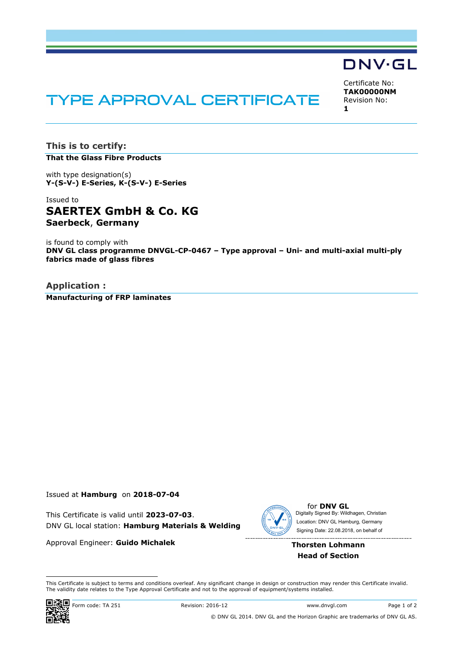# **TYPE APPROVAL CERTIFICATE**

Certificate No: **TAK00000NM** Revision No: **1**

DNV·GL

**This is to certify: That the Glass Fibre Products**

with type designation(s) **Y-(S-V-) E-Series, K-(S-V-) E-Series**

Issued to **SAERTEX GmbH & Co. KG Saerbeck**, **Germany**

is found to comply with **DNV GL class programme DNVGL-CP-0467 – Type approval – Uni- and multi-axial multi-ply fabrics made of glass fibres**

**Application : Manufacturing of FRP laminates**

#### Issued at **Hamburg** on **2018-07-04**

This Certificate is valid until **2023-07-03**. DNV GL local station: **Hamburg Materials & Welding**

Approval Engineer: **Guido Michalek**



for **DNV GL** Signing Date: 22.08.2018 , on behalf ofDigitally Signed By: Wildhagen, Christian Location: DNV GL Hamburg, Germany

### **Thorsten Lohmann Head of Section**

 This Certificate is subject to terms and conditions overleaf. Any significant change in design or construction may render this Certificate invalid. The validity date relates to the Type Approval Certificate and not to the approval of equipment/systems installed.



 $\frac{1}{2}$  Form code: TA 251 Revision: 2016-12 www.dnvgl.com Page 1 of 2